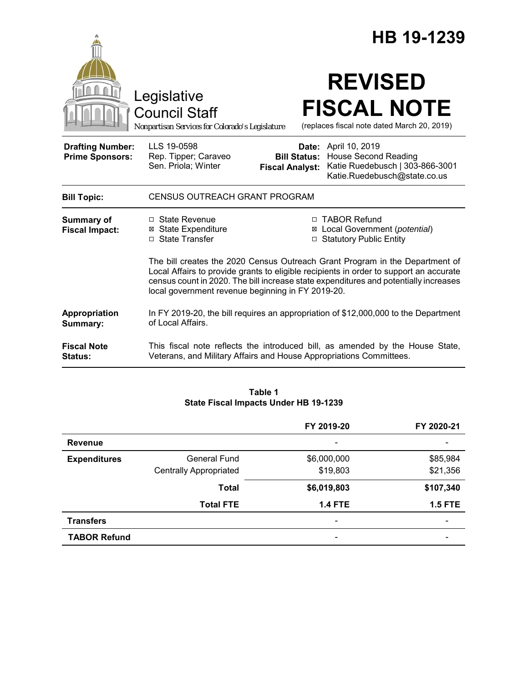|                                                   |                                                                                                                                                                                                                                                                                                                     |                     | HB 19-1239                                                                                                             |  |  |
|---------------------------------------------------|---------------------------------------------------------------------------------------------------------------------------------------------------------------------------------------------------------------------------------------------------------------------------------------------------------------------|---------------------|------------------------------------------------------------------------------------------------------------------------|--|--|
|                                                   | Legislative<br><b>Council Staff</b><br>Nonpartisan Services for Colorado's Legislature                                                                                                                                                                                                                              |                     | <b>REVISED</b><br><b>FISCAL NOTE</b><br>(replaces fiscal note dated March 20, 2019)                                    |  |  |
| <b>Drafting Number:</b><br><b>Prime Sponsors:</b> | LLS 19-0598<br>Rep. Tipper; Caraveo<br>Sen. Priola; Winter<br><b>Fiscal Analyst:</b>                                                                                                                                                                                                                                | <b>Bill Status:</b> | Date: April 10, 2019<br><b>House Second Reading</b><br>Katie Ruedebusch   303-866-3001<br>Katie.Ruedebusch@state.co.us |  |  |
| <b>Bill Topic:</b>                                | <b>CENSUS OUTREACH GRANT PROGRAM</b>                                                                                                                                                                                                                                                                                |                     |                                                                                                                        |  |  |
| Summary of<br><b>Fiscal Impact:</b>               | □ State Revenue<br><b>⊠ State Expenditure</b><br>□ State Transfer                                                                                                                                                                                                                                                   |                     | □ TABOR Refund<br>⊠ Local Government (potential)<br>□ Statutory Public Entity                                          |  |  |
|                                                   | The bill creates the 2020 Census Outreach Grant Program in the Department of<br>Local Affairs to provide grants to eligible recipients in order to support an accurate<br>census count in 2020. The bill increase state expenditures and potentially increases<br>local government revenue beginning in FY 2019-20. |                     |                                                                                                                        |  |  |
| Appropriation<br>Summary:                         | In FY 2019-20, the bill requires an appropriation of \$12,000,000 to the Department<br>of Local Affairs.                                                                                                                                                                                                            |                     |                                                                                                                        |  |  |
| <b>Fiscal Note</b><br><b>Status:</b>              | This fiscal note reflects the introduced bill, as amended by the House State,<br>Veterans, and Military Affairs and House Appropriations Committees.                                                                                                                                                                |                     |                                                                                                                        |  |  |

#### **Table 1 State Fiscal Impacts Under HB 19-1239**

|                     |                               | FY 2019-20                   | FY 2020-21     |
|---------------------|-------------------------------|------------------------------|----------------|
| <b>Revenue</b>      |                               | $\overline{\phantom{a}}$     |                |
| <b>Expenditures</b> | General Fund                  | \$6,000,000                  | \$85,984       |
|                     | <b>Centrally Appropriated</b> | \$19,803                     | \$21,356       |
|                     | <b>Total</b>                  | \$6,019,803                  | \$107,340      |
|                     | <b>Total FTE</b>              | <b>1.4 FTE</b>               | <b>1.5 FTE</b> |
| <b>Transfers</b>    |                               | $\qquad \qquad \blacksquare$ |                |
| <b>TABOR Refund</b> |                               |                              |                |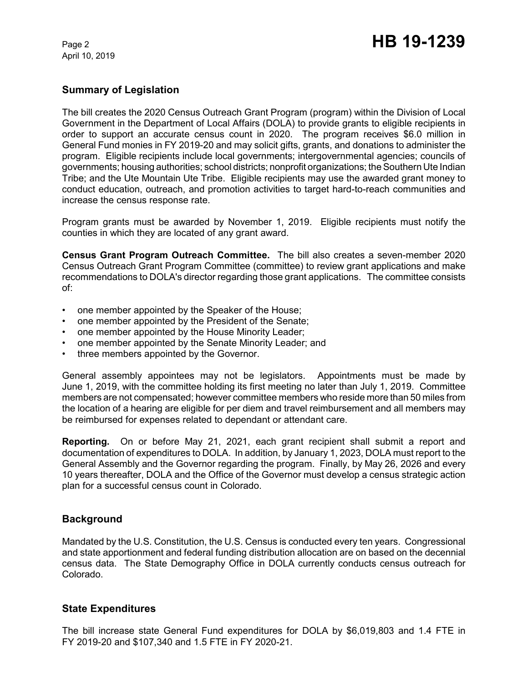April 10, 2019

## **Summary of Legislation**

The bill creates the 2020 Census Outreach Grant Program (program) within the Division of Local Government in the Department of Local Affairs (DOLA) to provide grants to eligible recipients in order to support an accurate census count in 2020. The program receives \$6.0 million in General Fund monies in FY 2019-20 and may solicit gifts, grants, and donations to administer the program. Eligible recipients include local governments; intergovernmental agencies; councils of governments; housing authorities; school districts; nonprofit organizations; theSouthern Ute Indian Tribe; and the Ute Mountain Ute Tribe. Eligible recipients may use the awarded grant money to conduct education, outreach, and promotion activities to target hard-to-reach communities and increase the census response rate.

Program grants must be awarded by November 1, 2019. Eligible recipients must notify the counties in which they are located of any grant award.

**Census Grant Program Outreach Committee.** The bill also creates a seven-member 2020 Census Outreach Grant Program Committee (committee) to review grant applications and make recommendations to DOLA's director regarding those grant applications. The committee consists of:

- one member appointed by the Speaker of the House;
- one member appointed by the President of the Senate;
- one member appointed by the House Minority Leader;
- one member appointed by the Senate Minority Leader; and
- three members appointed by the Governor.

General assembly appointees may not be legislators. Appointments must be made by June 1, 2019, with the committee holding its first meeting no later than July 1, 2019. Committee members are not compensated; however committee members who reside more than 50 miles from the location of a hearing are eligible for per diem and travel reimbursement and all members may be reimbursed for expenses related to dependant or attendant care.

**Reporting.** On or before May 21, 2021, each grant recipient shall submit a report and documentation of expenditures to DOLA. In addition, by January 1, 2023, DOLA must report to the General Assembly and the Governor regarding the program. Finally, by May 26, 2026 and every 10 years thereafter, DOLA and the Office of the Governor must develop a census strategic action plan for a successful census count in Colorado.

## **Background**

Mandated by the U.S. Constitution, the U.S. Census is conducted every ten years. Congressional and state apportionment and federal funding distribution allocation are on based on the decennial census data. The State Demography Office in DOLA currently conducts census outreach for Colorado.

## **State Expenditures**

The bill increase state General Fund expenditures for DOLA by \$6,019,803 and 1.4 FTE in FY 2019-20 and \$107,340 and 1.5 FTE in FY 2020-21.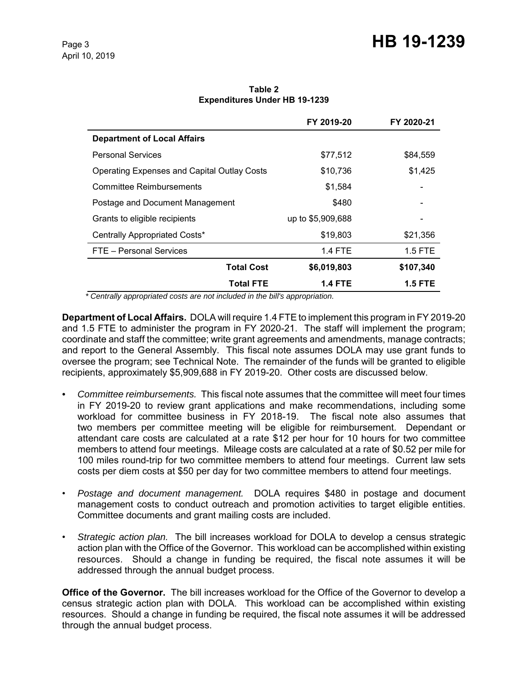# Page 3 **HB 19-1239**

**Table 2 Expenditures Under HB 19-1239**

|                                                    | FY 2019-20        | FY 2020-21 |
|----------------------------------------------------|-------------------|------------|
| <b>Department of Local Affairs</b>                 |                   |            |
| <b>Personal Services</b>                           | \$77,512          | \$84,559   |
| <b>Operating Expenses and Capital Outlay Costs</b> | \$10,736          | \$1,425    |
| Committee Reimbursements                           | \$1,584           |            |
| Postage and Document Management                    | \$480             |            |
| Grants to eligible recipients                      | up to \$5,909,688 |            |
| Centrally Appropriated Costs*                      | \$19,803          | \$21,356   |
| FTE - Personal Services                            | <b>1.4 FTE</b>    | $1.5$ FTE  |
| <b>Total Cost</b>                                  | \$6,019,803       | \$107,340  |
| Total FTE                                          | <b>1.4 FTE</b>    | 1.5 FTE    |

 *\* Centrally appropriated costs are not included in the bill's appropriation.*

**Department of Local Affairs.** DOLA will require 1.4 FTE to implement this program in FY 2019-20 and 1.5 FTE to administer the program in FY 2020-21. The staff will implement the program; coordinate and staff the committee; write grant agreements and amendments, manage contracts; and report to the General Assembly. This fiscal note assumes DOLA may use grant funds to oversee the program; see Technical Note. The remainder of the funds will be granted to eligible recipients, approximately \$5,909,688 in FY 2019-20. Other costs are discussed below.

- *Committee reimbursements.*This fiscal note assumes that the committee will meet four times in FY 2019-20 to review grant applications and make recommendations, including some workload for committee business in FY 2018-19. The fiscal note also assumes that two members per committee meeting will be eligible for reimbursement. Dependant or attendant care costs are calculated at a rate \$12 per hour for 10 hours for two committee members to attend four meetings. Mileage costs are calculated at a rate of \$0.52 per mile for 100 miles round-trip for two committee members to attend four meetings. Current law sets costs per diem costs at \$50 per day for two committee members to attend four meetings.
- *Postage and document management.* DOLA requires \$480 in postage and document management costs to conduct outreach and promotion activities to target eligible entities. Committee documents and grant mailing costs are included.
- *Strategic action plan.* The bill increases workload for DOLA to develop a census strategic action plan with the Office of the Governor. This workload can be accomplished within existing resources. Should a change in funding be required, the fiscal note assumes it will be addressed through the annual budget process.

**Office of the Governor.** The bill increases workload for the Office of the Governor to develop a census strategic action plan with DOLA. This workload can be accomplished within existing resources. Should a change in funding be required, the fiscal note assumes it will be addressed through the annual budget process.